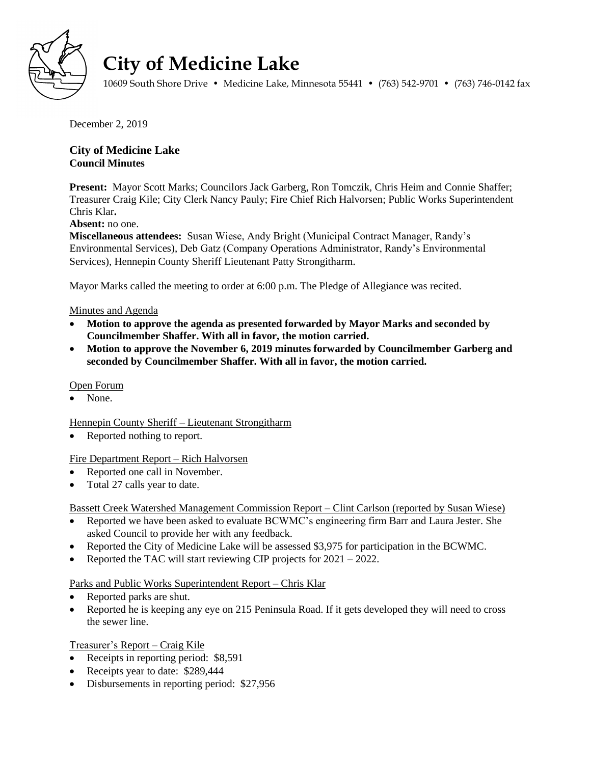

# **City of Medicine Lake**

10609 South Shore Drive • Medicine Lake, Minnesota 55441 • (763) 542-9701 • (763) 746-0142 fax

December 2, 2019

## **City of Medicine Lake Council Minutes**

**Present:** Mayor Scott Marks; Councilors Jack Garberg, Ron Tomczik, Chris Heim and Connie Shaffer; Treasurer Craig Kile; City Clerk Nancy Pauly; Fire Chief Rich Halvorsen; Public Works Superintendent Chris Klar**.**

**Absent:** no one.

**Miscellaneous attendees:** Susan Wiese, Andy Bright (Municipal Contract Manager, Randy's Environmental Services), Deb Gatz (Company Operations Administrator, Randy's Environmental Services), Hennepin County Sheriff Lieutenant Patty Strongitharm.

Mayor Marks called the meeting to order at 6:00 p.m. The Pledge of Allegiance was recited.

### Minutes and Agenda

- **Motion to approve the agenda as presented forwarded by Mayor Marks and seconded by Councilmember Shaffer. With all in favor, the motion carried.**
- **Motion to approve the November 6, 2019 minutes forwarded by Councilmember Garberg and seconded by Councilmember Shaffer. With all in favor, the motion carried.**

### Open Forum

None.

Hennepin County Sheriff – Lieutenant Strongitharm

Reported nothing to report.

## Fire Department Report – Rich Halvorsen

- Reported one call in November.
- Total 27 calls year to date.

Bassett Creek Watershed Management Commission Report – Clint Carlson (reported by Susan Wiese)

- Reported we have been asked to evaluate BCWMC's engineering firm Barr and Laura Jester. She asked Council to provide her with any feedback.
- Reported the City of Medicine Lake will be assessed \$3,975 for participation in the BCWMC.
- Reported the TAC will start reviewing CIP projects for  $2021 2022$ .

Parks and Public Works Superintendent Report – Chris Klar

- Reported parks are shut.
- Reported he is keeping any eye on 215 Peninsula Road. If it gets developed they will need to cross the sewer line.

Treasurer's Report – Craig Kile

- Receipts in reporting period: \$8,591
- Receipts year to date: \$289,444
- Disbursements in reporting period: \$27,956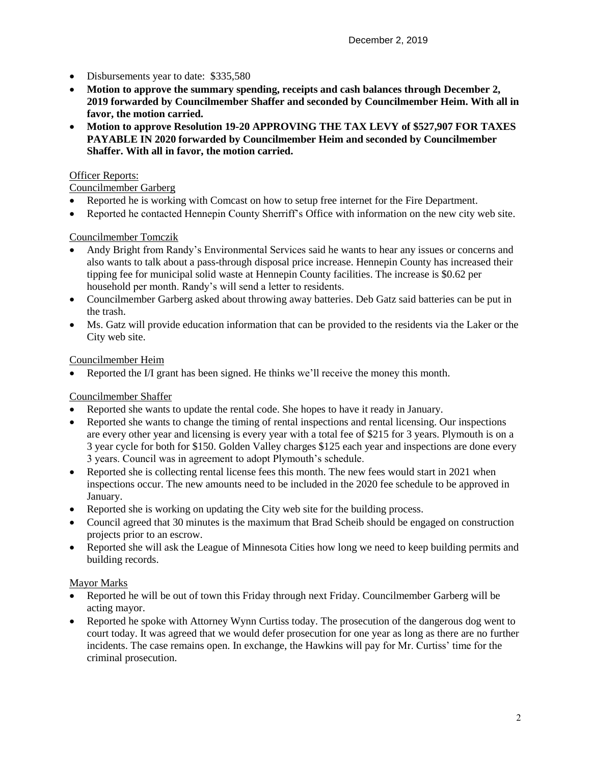- Disbursements year to date: \$335,580
- **Motion to approve the summary spending, receipts and cash balances through December 2, 2019 forwarded by Councilmember Shaffer and seconded by Councilmember Heim. With all in favor, the motion carried.**
- **Motion to approve Resolution 19-20 APPROVING THE TAX LEVY of \$527,907 FOR TAXES PAYABLE IN 2020 forwarded by Councilmember Heim and seconded by Councilmember Shaffer. With all in favor, the motion carried.**

## Officer Reports:

## Councilmember Garberg

- Reported he is working with Comcast on how to setup free internet for the Fire Department.
- Reported he contacted Hennepin County Sherriff's Office with information on the new city web site.

### Councilmember Tomczik

- Andy Bright from Randy's Environmental Services said he wants to hear any issues or concerns and also wants to talk about a pass-through disposal price increase. Hennepin County has increased their tipping fee for municipal solid waste at Hennepin County facilities. The increase is \$0.62 per household per month. Randy's will send a letter to residents.
- Councilmember Garberg asked about throwing away batteries. Deb Gatz said batteries can be put in the trash.
- Ms. Gatz will provide education information that can be provided to the residents via the Laker or the City web site.

### Councilmember Heim

Reported the I/I grant has been signed. He thinks we'll receive the money this month.

## Councilmember Shaffer

- Reported she wants to update the rental code. She hopes to have it ready in January.
- Reported she wants to change the timing of rental inspections and rental licensing. Our inspections are every other year and licensing is every year with a total fee of \$215 for 3 years. Plymouth is on a 3 year cycle for both for \$150. Golden Valley charges \$125 each year and inspections are done every 3 years. Council was in agreement to adopt Plymouth's schedule.
- Reported she is collecting rental license fees this month. The new fees would start in 2021 when inspections occur. The new amounts need to be included in the 2020 fee schedule to be approved in January.
- Reported she is working on updating the City web site for the building process.
- Council agreed that 30 minutes is the maximum that Brad Scheib should be engaged on construction projects prior to an escrow.
- Reported she will ask the League of Minnesota Cities how long we need to keep building permits and building records.

#### Mayor Marks

- Reported he will be out of town this Friday through next Friday. Councilmember Garberg will be acting mayor.
- Reported he spoke with Attorney Wynn Curtiss today. The prosecution of the dangerous dog went to court today. It was agreed that we would defer prosecution for one year as long as there are no further incidents. The case remains open. In exchange, the Hawkins will pay for Mr. Curtiss' time for the criminal prosecution.